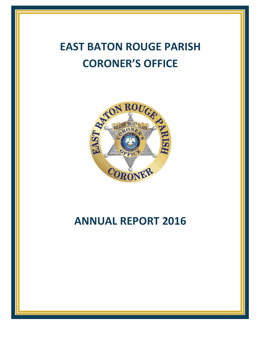# **EAST BATON ROUGE PARISH CORONER'S OFFICE**



# **ANNUAL REPORT 2016**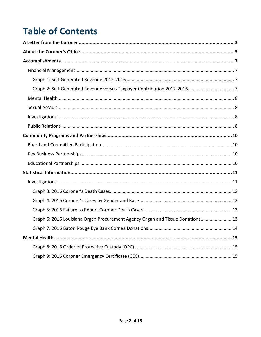# **Table of Contents**

| Graph 6: 2016 Louisiana Organ Procurement Agency Organ and Tissue Donations 13 |  |
|--------------------------------------------------------------------------------|--|
|                                                                                |  |
|                                                                                |  |
|                                                                                |  |
|                                                                                |  |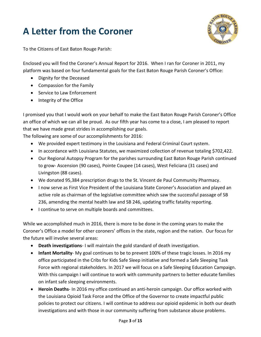# <span id="page-2-0"></span>**A Letter from the Coroner**



To the Citizens of East Baton Rouge Parish:

Enclosed you will find the Coroner's Annual Report for 2016. When I ran for Coroner in 2011, my platform was based on four fundamental goals for the East Baton Rouge Parish Coroner's Office:

- Dignity for the Deceased
- Compassion for the Family
- Service to Law Enforcement
- Integrity of the Office

I promised you that I would work on your behalf to make the East Baton Rouge Parish Coroner's Office an office of which we can all be proud. As our fifth year has come to a close, I am pleased to report that we have made great strides in accomplishing our goals.

The following are some of our accomplishments for 2016:

- We provided expert testimony in the Louisiana and Federal Criminal Court system.
- In accordance with Louisiana Statutes, we maximized collection of revenue totaling \$702,422.
- Our Regional Autopsy Program for the parishes surrounding East Baton Rouge Parish continued to grow- Ascension (90 cases), Pointe Coupee (14 cases), West Feliciana (31 cases) and Livingston (88 cases).
- We donated 95,384 prescription drugs to the St. Vincent de Paul Community Pharmacy.
- I now serve as First Vice President of the Louisiana State Coroner's Association and played an active role as chairman of the legislative committee which saw the successful passage of SB 236, amending the mental health law and SB 246, updating traffic fatality reporting.
- I continue to serve on multiple boards and committees.

While we accomplished much in 2016, there is more to be done in the coming years to make the Coroner's Office a model for other coroners' offices in the state, region and the nation. Our focus for the future will involve several areas:

- **Death investigations** I will maintain the gold standard of death investigation.
- **Infant Mortality** My goal continues to be to prevent 100% of these tragic losses. In 2016 my office participated in the Cribs for Kids Safe Sleep initiative and formed a Safe Sleeping Task Force with regional stakeholders. In 2017 we will focus on a Safe Sleeping Education Campaign. With this campaign I will continue to work with community partners to better educate families on infant safe sleeping environments.
- **Heroin Deaths** In 2016 my office continued an anti-heroin campaign. Our office worked with the Louisiana Opioid Task Force and the Office of the Governor to create impactful public policies to protect our citizens. I will continue to address our opioid epidemic in both our death investigations and with those in our community suffering from substance abuse problems.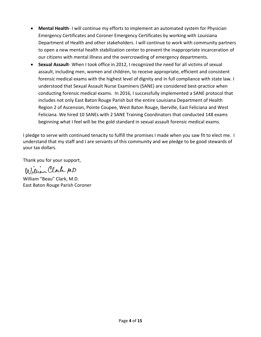- **Mental Health** I will continue my efforts to implement an automated system for Physician Emergency Certificates and Coroner Emergency Certificates by working with Louisiana Department of Health and other stakeholders. I will continue to work with community partners to open a new mental health stabilization center to prevent the inappropriate incarceration of our citizens with mental illness and the overcrowding of emergency departments.
- **Sexual Assault** When I took office in 2012, I recognized the need for all victims of sexual assault, including men, women and children, to receive appropriate, efficient and consistent forensic medical exams with the highest level of dignity and in full compliance with state law. I understood that Sexual Assault Nurse Examiners (SANE) are considered best-practice when conducting forensic medical exams. In 2016, I successfully implemented a SANE protocol that includes not only East Baton Rouge Parish but the entire Louisiana Department of Health Region 2 of Ascension, Pointe Coupee, West Baton Rouge, Iberville, East Feliciana and West Feliciana. We hired 10 SANEs with 2 SANE Training Coordinators that conducted 148 exams beginning what I feel will be the gold standard in sexual assault forensic medical exams.

I pledge to serve with continued tenacity to fulfill the promises I made when you saw fit to elect me. I understand that my staff and I are servants of this community and we pledge to be good stewards of your tax dollars.

Thank you for your support,

William Clark MD

William "Beau" Clark, M.D. East Baton Rouge Parish Coroner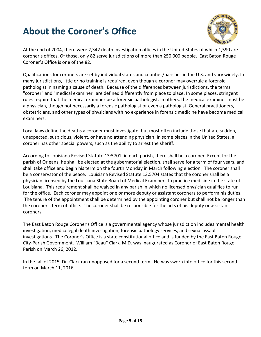# <span id="page-4-0"></span>**About the Coroner's Office**



At the end of 2004, there were 2,342 death investigation offices in the United States of which 1,590 are coroner's offices. Of those, only 82 serve jurisdictions of more than 250,000 people. East Baton Rouge Coroner's Office is one of the 82.

Qualifications for coroners are set by individual states and counties/parishes in the U.S. and vary widely. In many jurisdictions, little or no training is required, even though a coroner may overrule a forensic pathologist in naming a cause of death. Because of the differences between jurisdictions, the terms "coroner" and "medical examiner" are defined differently from place to place. In some places, stringent rules require that the medical examiner be a forensic pathologist. In others, the medical examiner must be a physician, though not necessarily a forensic pathologist or even a pathologist. General practitioners, obstetricians, and other types of physicians with no experience in forensic medicine have become medical examiners.

Local laws define the deaths a coroner must investigate, but most often include those that are sudden, unexpected, suspicious, violent, or have no attending physician. In some places in the United States, a coroner has other special powers, such as the ability to arrest the sheriff.

According to Louisiana Revised Statute 13:5701, in each parish, there shall be a coroner. Except for the parish of Orleans, he shall be elected at the gubernatorial election, shall serve for a term of four years, and shall take office and begin his term on the fourth Monday in March following election. The coroner shall be a conservator of the peace. Louisiana Revised Statute 13:5704 states that the coroner shall be a physician licensed by the Louisiana State Board of Medical Examiners to practice medicine in the state of Louisiana. This requirement shall be waived in any parish in which no licensed physician qualifies to run for the office. Each coroner may appoint one or more deputy or assistant coroners to perform his duties. The tenure of the appointment shall be determined by the appointing coroner but shall not be longer than the coroner's term of office. The coroner shall be responsible for the acts of his deputy or assistant coroners.

The East Baton Rouge Coroner's Office is a governmental agency whose jurisdiction includes mental health investigation, medicolegal death investigation, forensic pathology services, and sexual assault investigations. The Coroner's Office is a state constitutional office and is funded by the East Baton Rouge City-Parish Government. William "Beau" Clark, M.D. was inaugurated as Coroner of East Baton Rouge Parish on March 26, 2012.

In the fall of 2015, Dr. Clark ran unopposed for a second term. He was sworn into office for this second term on March 11, 2016.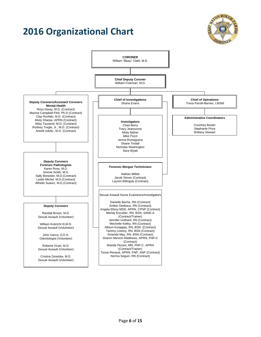## **2016 Organizational Chart**



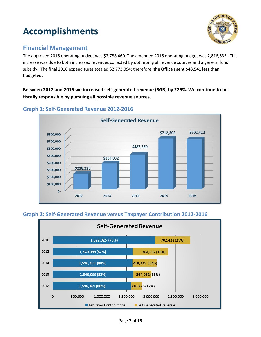# <span id="page-6-0"></span>**Accomplishments**



### <span id="page-6-1"></span>**Financial Management**

The approved 2016 operating budget was \$2,788,460. The amended 2016 operating budget was 2,816,635. This increase was due to both increased revenues collected by optimizing all revenue sources and a general fund subsidy. The final 2016 expenditures totaled \$2,773,094; therefore, **the Office spent \$43,541 less than budgeted.**

**Between 2012 and 2016 we increased self-generated revenue (SGR) by 226%. We continue to be fiscally responsible by pursuing all possible revenue sources.**



#### <span id="page-6-2"></span>**Graph 1: Self-Generated Revenue 2012-2016**

#### <span id="page-6-3"></span>**Graph 2: Self-Generated Revenue versus Taxpayer Contribution 2012-2016**

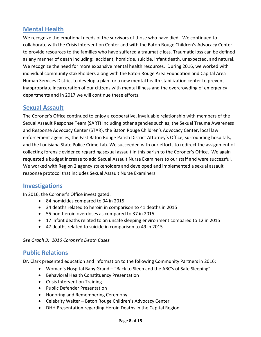### <span id="page-7-0"></span>**Mental Health**

We recognize the emotional needs of the survivors of those who have died. We continued to collaborate with the Crisis Intervention Center and with the Baton Rouge Children's Advocacy Center to provide resources to the families who have suffered a traumatic loss. Traumatic loss can be defined as any manner of death including: accident, homicide, suicide, infant death, unexpected, and natural. We recognize the need for more expansive mental health resources. During 2016, we worked with individual community stakeholders along with the Baton Rouge Area Foundation and Capital Area Human Services District to develop a plan for a new mental health stabilization center to prevent inappropriate incarceration of our citizens with mental illness and the overcrowding of emergency departments and in 2017 we will continue these efforts.

#### <span id="page-7-1"></span>**Sexual Assault**

The Coroner's Office continued to enjoy a cooperative, invaluable relationship with members of the Sexual Assault Response Team (SART) including other agencies such as, the Sexual Trauma Awareness and Response Advocacy Center (STAR), the Baton Rouge Children's Advocacy Center, local law enforcement agencies, the East Baton Rouge Parish District Attorney's Office, surrounding hospitals, and the Louisiana State Police Crime Lab. We succeeded with our efforts to redirect the assignment of collecting forensic evidence regarding sexual assault in this parish to the Coroner's Office. We again requested a budget increase to add Sexual Assault Nurse Examiners to our staff and were successful. We worked with Region 2 agency stakeholders and developed and implemented a sexual assault response protocol that includes Sexual Assault Nurse Examiners.

#### <span id="page-7-2"></span>**Investigations**

In 2016, the Coroner's Office investigated:

- 84 homicides compared to 94 in 2015
- 34 deaths related to heroin in comparison to 41 deaths in 2015
- 55 non-heroin overdoses as compared to 37 in 2015
- 17 infant deaths related to an unsafe sleeping environment compared to 12 in 2015
- 47 deaths related to suicide in comparison to 49 in 2015

#### *See Graph 3: 2016 Coroner's Death Cases*

#### <span id="page-7-3"></span>**Public Relations**

Dr. Clark presented education and information to the following Community Partners in 2016:

- Woman's Hospital Baby Grand "Back to Sleep and the ABC's of Safe Sleeping".
- **•** Behavioral Health Constituency Presentation
- Crisis Intervention Training
- Public Defender Presentation
- Honoring and Remembering Ceremony
- Celebrity Waiter Baton Rouge Children's Advocacy Center
- DHH Presentation regarding Heroin Deaths in the Capital Region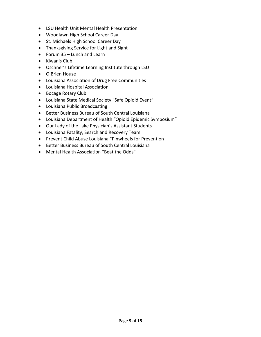- LSU Health Unit Mental Health Presentation
- Woodlawn High School Career Day
- St. Michaels High School Career Day
- Thanksgiving Service for Light and Sight
- Forum 35 Lunch and Learn
- Kiwanis Club
- Oschner's Lifetime Learning Institute through LSU
- O'Brien House
- Louisiana Association of Drug Free Communities
- Louisiana Hospital Association
- Bocage Rotary Club
- Louisiana State Medical Society "Safe Opioid Event"
- Louisiana Public Broadcasting
- Better Business Bureau of South Central Louisiana
- Louisiana Department of Health "Opioid Epidemic Symposium"
- Our Lady of the Lake Physician's Assistant Students
- Louisiana Fatality, Search and Recovery Team
- Prevent Child Abuse Louisiana "Pinwheels for Prevention
- Better Business Bureau of South Central Louisiana
- Mental Health Association "Beat the Odds"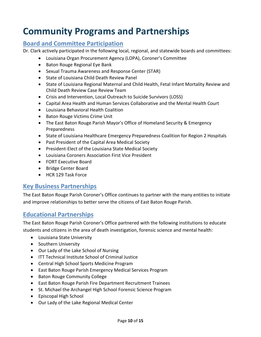### <span id="page-9-0"></span>**Community Programs and Partnerships**

### <span id="page-9-1"></span>**Board and Committee Participation**

Dr. Clark actively participated in the following local, regional, and statewide boards and committees:

- Louisiana Organ Procurement Agency (LOPA), Coroner's Committee
- Baton Rouge Regional Eye Bank
- Sexual Trauma Awareness and Response Center (STAR)
- State of Louisiana Child Death Review Panel
- State of Louisiana Regional Maternal and Child Health, Fetal Infant Mortality Review and Child Death Review Case Review Team
- Crisis and Intervention, Local Outreach to Suicide Survivors (LOSS)
- Capital Area Health and Human Services Collaborative and the Mental Health Court
- Louisiana Behavioral Health Coalition
- Baton Rouge Victims Crime Unit
- The East Baton Rouge Parish Mayor's Office of Homeland Security & Emergency Preparedness
- State of Louisiana Healthcare Emergency Preparedness Coalition for Region 2 Hospitals
- Past President of the Capital Area Medical Society
- President-Elect of the Louisiana State Medical Society
- Louisiana Coroners Association First Vice President
- FORT Executive Board
- Bridge Center Board
- HCR 129 Task Force

### <span id="page-9-2"></span>**Key Business Partnerships**

The East Baton Rouge Parish Coroner's Office continues to partner with the many entities to initiate and improve relationships to better serve the citizens of East Baton Rouge Parish.

#### <span id="page-9-3"></span>**Educational Partnerships**

The East Baton Rouge Parish Coroner's Office partnered with the following institutions to educate students and citizens in the area of death investigation, forensic science and mental health:

- Louisiana State University
- Southern University
- Our Lady of the Lake School of Nursing
- ITT Technical Institute School of Criminal Justice
- Central High School Sports Medicine Program
- East Baton Rouge Parish Emergency Medical Services Program
- Baton Rouge Community College
- East Baton Rouge Parish Fire Department Recruitment Trainees
- St. Michael the Archangel High School Forensic Science Program
- Episcopal High School
- Our Lady of the Lake Regional Medical Center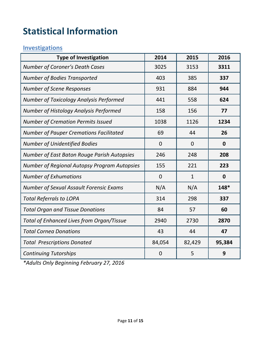# <span id="page-10-0"></span>**Statistical Information**

### <span id="page-10-1"></span>**Investigations**

| <b>Type of Investigation</b>                        | 2014           | 2015         | 2016        |
|-----------------------------------------------------|----------------|--------------|-------------|
| <b>Number of Coroner's Death Cases</b>              | 3025           | 3153         | 3311        |
| <b>Number of Bodies Transported</b>                 | 403            | 385          | 337         |
| <b>Number of Scene Responses</b>                    | 931            | 884          | 944         |
| <b>Number of Toxicology Analysis Performed</b>      | 441            | 558          | 624         |
| Number of Histology Analysis Performed              | 158            | 156          | 77          |
| Number of Cremation Permits Issued                  | 1038           | 1126         | 1234        |
| <b>Number of Pauper Cremations Facilitated</b>      | 69             | 44           | 26          |
| <b>Number of Unidentified Bodies</b>                | $\overline{0}$ | $\Omega$     | $\mathbf 0$ |
| <b>Number of East Baton Rouge Parish Autopsies</b>  | 246            | 248          | 208         |
| <b>Number of Regional Autopsy Program Autopsies</b> | 155            | 221          | 223         |
| <b>Number of Exhumations</b>                        | $\overline{0}$ | $\mathbf{1}$ | $\mathbf 0$ |
| <b>Number of Sexual Assault Forensic Exams</b>      | N/A            | N/A          | 148*        |
| <b>Total Referrals to LOPA</b>                      | 314            | 298          | 337         |
| <b>Total Organ and Tissue Donations</b>             | 84             | 57           | 60          |
| <b>Total of Enhanced Lives from Organ/Tissue</b>    | 2940           | 2730         | 2870        |
| <b>Total Cornea Donations</b>                       | 43             | 44           | 47          |
| <b>Total Prescriptions Donated</b>                  | 84,054         | 82,429       | 95,384      |
| <b>Continuing Tutorships</b>                        | $\overline{0}$ | 5            | 9           |

*\*Adults Only Beginning February 27, 2016*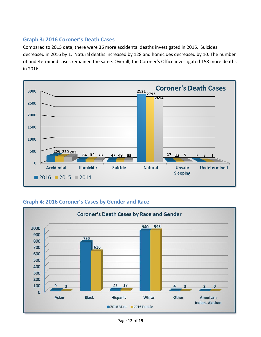#### <span id="page-11-0"></span>**Graph 3: 2016 Coroner's Death Cases**

Compared to 2015 data, there were 36 more accidental deaths investigated in 2016. Suicides decreased in 2016 by 1. Natural deaths increased by 128 and homicides decreased by 10. The number of undetermined cases remained the same. Overall, the Coroner's Office investigated 158 more deaths in 2016.



<span id="page-11-1"></span>**Graph 4: 2016 Coroner's Cases by Gender and Race**

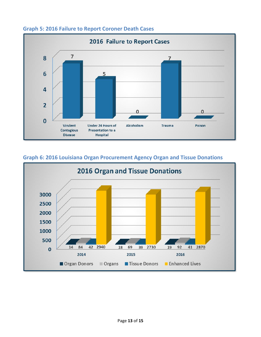

#### <span id="page-12-0"></span>**Graph 5: 2016 Failure to Report Coroner Death Cases**



#### <span id="page-12-1"></span>**Graph 6: 2016 Louisiana Organ Procurement Agency Organ and Tissue Donations**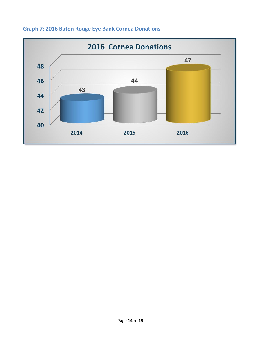

### <span id="page-13-0"></span>**Graph 7: 2016 Baton Rouge Eye Bank Cornea Donations**